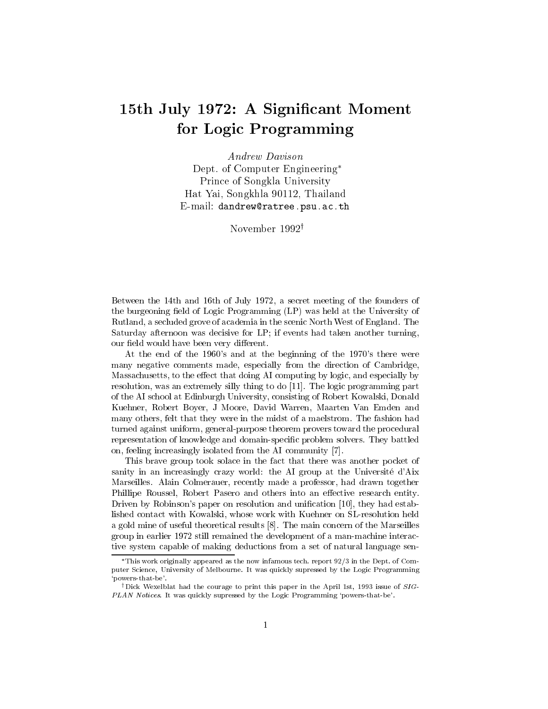## 15th July 1972: A Significant Moment for Logic Programming

*Andrew Davison* Dept. of Computer Engineering\* Prince of Songkla University Hat Yai, Songkhla 90112, Thailand E-mail: dandrew@ratree.psu.ac.th

November 1992<sup>†</sup>

Between the 14th and 16th of July 1972, a secret meeting of the founders of the burgeoning field of Logic Programming (LP) was held at the University of Rutland, a secluded grove of academia in the scenic North West of England. The Saturday afternoon was decisive for LP; if events had taken another turning, our field would have been very different.

At the end of the 1960's and at the beginning of the 1970's there were many negative comments made, especially from the direction of Cambridge, Massachusetts, to the effect that doing AI computing by logic, and especially by resolution, was an extremely silly thing to do [11]. The logic programming part of the AI school at Edinburgh University, consisting of Robert Kowalski, Donald Kuehner, Robert Boyer, J Moore, David Warren, Maarten Van Emden and many others, felt that they were in the midst of a maelstrom. The fashion had turned against uniform, general-purpose theorem provers toward the procedural representation of knowledge and domain-specific problem solvers. They battled on, feeling increasingly isolated from the AI community [7].

This brave group took solace in the fact that there was another pocket of sanity in an increasingly crazy world: the AI group at the Université d'Aix Marseilles. Alain Colmerauer, recently made a professor, had drawn together Phillipe Roussel, Robert Pasero and others into an effective research entity. Driven by Robinson's paper on resolution and unification [10], they had established contact with Kowalski, whose work with Kuehner on SL-resolution held a gold mine of useful theoretical results [8]. The main concern of the Marseilles group in earlier 1972 still remained the development of a man-machine interactive system capable of making deductions from a set of natural language sen-

 $*$ This work originally appeared as the now infamous tech. report  $92/3$  in the Dept. of Computer Science, University of Melbourne. It was quickly supressed by the Logic Programming 'powers-that-be'.

<sup>&</sup>lt;sup>†</sup>Dick Wexelblat had the courage to print this paper in the April 1st, 1993 issue of  $SIG$ -PLAN Notices. It was quickly supressed by the Logic Programming 'powers-that-be'.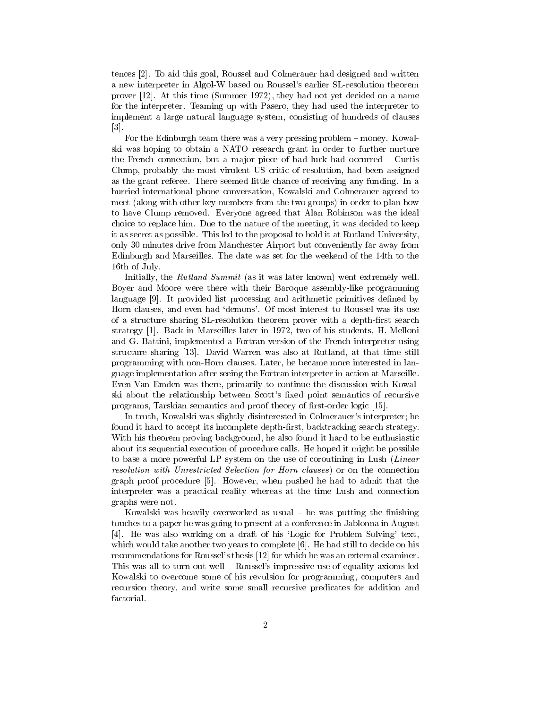tences [2]. To aid this goal, Roussel and Colmerauer had designed and written a new interpreter in Algol-W based on Roussel's earlier SL-resolution theorem prover [12]. At this time (Summer 1972), they had not yet decided on a name for the interpreter. Teaming up with Pasero, they had used the interpreter to implement a large natural language system, consisting of hundreds of clauses  $\lceil 3 \rceil$ 

For the Edinburgh team there was a very pressing problem  $-$  money. Kowalski was hoping to obtain a NATO research grant in order to further nurture the French connection, but a major piece of bad luck had occurred  $-$  Curtis Clump, probably the most virulent US critic of resolution, had been assigned as the grant referee. There seemed little chance of receiving any funding. In a hurried international phone conversation, Kowalski and Colmerauer agreed to meet (along with other key members from the two groups) in order to plan how to have Clump removed. Everyone agreed that Alan Robinson was the ideal choice to replace him. Due to the nature of the meeting, it was decided to keep it as secret as possible. This led to the proposal to hold it at Rutland University, only 30 minutes drive from Manchester Airport but conveniently far away from Edinburgh and Marseilles. The date was set for the weekend of the 14th to the 16th of July.

Initially, the *Rutland Summit* (as it was later known) went extremely well. Boyer and Moore were there with their Baroque assembly-like programming language [9]. It provided list processing and arithmetic primitives defined by Horn clauses, and even had 'demons'. Of most interest to Roussel was its use of a structure sharing SL-resolution theorem prover with a depth-first search strategy [1]. Back in Marseilles later in 1972, two of his students, H. Melloni and G. Battini, implemented a Fortran version of the French interpreter using structure sharing [13]. David Warren was also at Rutland, at that time still programming with non-Horn clauses. Later, he became more interested in language implementation after seeing the Fortran interpreter in action at Marseille. Even Van Emden was there, primarily to continue the discussion with Kowalski about the relationship between Scott's fixed point semantics of recursive programs, Tarskian semantics and proof theory of first-order logic [15].

In truth, Kowalski was slightly disinterested in Colmerauer's interpreter; he found it hard to accept its incomplete depth-first, backtracking search strategy. With his theorem proving background, he also found it hard to be enthusiastic about its sequential execution of procedure calls. He hoped it might be possible to base a more powerful LP system on the use of coroutining in Lush (Linear resolution with Unrestricted Selection for Horn clauses) or on the connection graph proof procedure [5]. However, when pushed he had to admit that the interpreter was a practical reality whereas at the time Lush and connection graphs were not.

Kowalski was heavily overworked as usual  $-$  he was putting the finishing touches to a paper he was going to present at a conference in Jablonna in August [4]. He was also working on a draft of his 'Logic for Problem Solving' text, which would take another two years to complete [6]. He had still to decide on his recommendations for Roussel's thesis [12] for which he was an external examiner. This was all to turn out well - Roussel's impressive use of equality axioms led Kowalski to overcome some of his revulsion for programming, computers and recursion theory, and write some small recursive predicates for addition and factorial.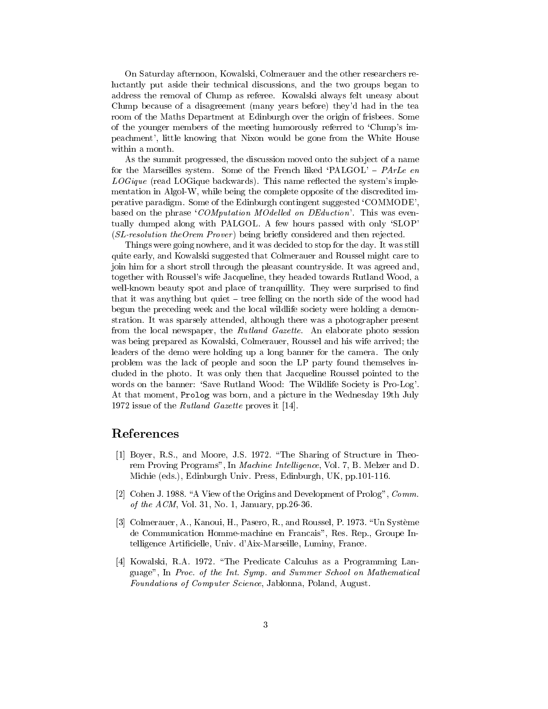On Saturday afternoon, Kowalski, Colmerauer and the other researchers reluctantly put aside their technical discussions, and the two groups began to address the removal of Clump as referee. Kowalski always felt uneasy about Clump because of a disagreement (many years before) they'd had in the tea room of the Maths Department at Edinburgh over the origin of frisbees. Some of the younger members of the meeting humorously referred to 'Clump's impeachment', little knowing that Nixon would be gone from the White House within a month.

As the summit progressed, the discussion moved onto the subject of a name for the Marseilles system. Some of the French liked 'PALGOL' - PArLe en LOGique (read LOGique backwards). This name reflected the system's implementation in Algol-W, while being the complete opposite of the discredited imperative paradigm. Some of the Edinburgh contingent suggested 'COMMODE'. based on the phrase 'COMputation MOdelled on DEduction'. This was eventually dumped along with PALGOL. A few hours passed with only 'SLOP (SL-resolution theOrem Prover) being briefly considered and then rejected.

Things were going nowhere, and it was decided to stop for the day. It was still quite early, and Kowalski suggested that Colmerauer and Roussel might care to join him for a short stroll through the pleasant countryside. It was agreed and, together with Roussel's wife Jacqueline, they headed towards Rutland Wood, a well-known beauty spot and place of tranquillity. They were surprised to find that it was anything but quiet  $-$  tree felling on the north side of the wood had begun the preceding week and the local wildlife society were holding a demonstration. It was sparsely attended, although there was a photographer present from the local newspaper, the Rutland Gazette. An elaborate photo session was being prepared as Kowalski, Colmerauer, Roussel and his wife arrived; the leaders of the demo were holding up a long banner for the camera. The only problem was the lack of people and soon the LP party found themselves included in the photo. It was only then that Jacqueline Roussel pointed to the words on the banner: 'Save Rutland Wood: The Wildlife Society is Pro-Log'. At that moment, Prolog was born, and a picture in the Wednesday 19th July 1972 issue of the *Rutland Gazette* proves it [14].

## References

- [1] Boyer, R.S., and Moore, J.S. 1972. "The Sharing of Structure in Theorem Proving Programs", In *Machine Intelligence*, Vol. 7, B. Melzer and D. Michie (eds.), Edinburgh Univ. Press, Edinburgh, UK, pp.101-116.
- [2] Cohen J. 1988. "A View of the Origins and Development of Prolog", Comm of the ACM, Vol. 31, No. 1, January, pp. 26-36.
- [3] Colmerauer, A., Kanoui, H., Pasero, R., and Roussel, P. 1973. "Un Système de Communication Homme-machine en Francais", Res. Rep., Groupe Intelligence Artificielle, Univ. d'Aix-Marseille, Luminy, France.
- [4] Kowalski, R.A. 1972. "The Predicate Calculus as a Programming Language", In Proc. of the Int. Symp. and Summer School on Mathematical *Foundations of Computer Science*, Jablonna, Poland, August.